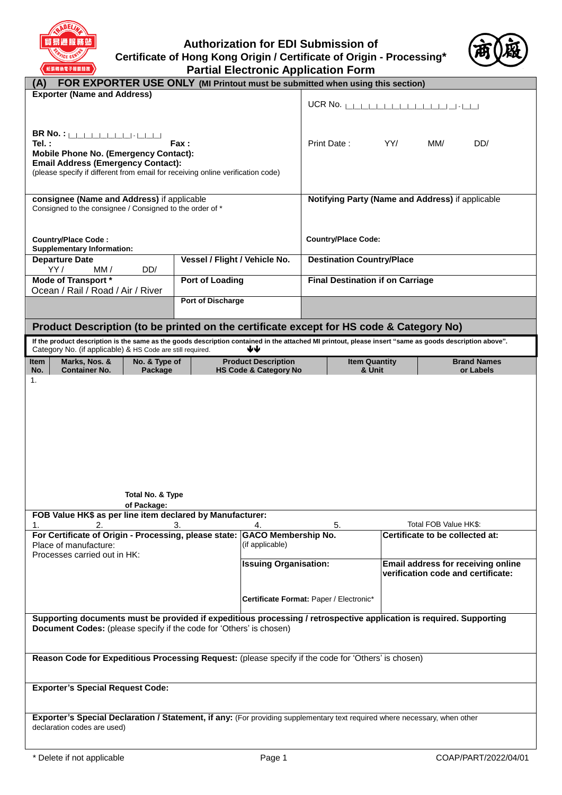

**Authorization for EDI Submission of Certificate of Hong Kong Origin / Certificate of Origin - Processing\* Partial Electronic Application Form**



| FOR EXPORTER USE ONLY (MI Printout must be submitted when using this section)<br>(A)                                                                                                                                                                 |                                         |                                                                |                                                  |                                                                          |                                 |                                 |
|------------------------------------------------------------------------------------------------------------------------------------------------------------------------------------------------------------------------------------------------------|-----------------------------------------|----------------------------------------------------------------|--------------------------------------------------|--------------------------------------------------------------------------|---------------------------------|---------------------------------|
| <b>Exporter (Name and Address)</b>                                                                                                                                                                                                                   |                                         |                                                                |                                                  |                                                                          |                                 |                                 |
| <b>BR No. :</b> [[[[[[[[[[[[[[[[[[[[[[[[[[]]]]]]]]<br>Tel.:<br>Fax :<br><b>Mobile Phone No. (Emergency Contact):</b><br><b>Email Address (Emergency Contact):</b><br>(please specify if different from email for receiving online verification code) |                                         |                                                                | Print Date:                                      | YY/                                                                      | MM/                             | DD/                             |
| consignee (Name and Address) if applicable<br>Consigned to the consignee / Consigned to the order of *                                                                                                                                               |                                         |                                                                | Notifying Party (Name and Address) if applicable |                                                                          |                                 |                                 |
| <b>Country/Place Code:</b><br><b>Supplementary Information:</b>                                                                                                                                                                                      |                                         |                                                                | <b>Country/Place Code:</b>                       |                                                                          |                                 |                                 |
| <b>Departure Date</b><br>YY/<br>DD/<br>MM /                                                                                                                                                                                                          | Vessel / Flight / Vehicle No.           |                                                                | <b>Destination Country/Place</b>                 |                                                                          |                                 |                                 |
| <b>Mode of Transport *</b><br>Ocean / Rail / Road / Air / River                                                                                                                                                                                      | Port of Loading                         |                                                                | <b>Final Destination if on Carriage</b>          |                                                                          |                                 |                                 |
|                                                                                                                                                                                                                                                      | <b>Port of Discharge</b>                |                                                                |                                                  |                                                                          |                                 |                                 |
| Product Description (to be printed on the certificate except for HS code & Category No)                                                                                                                                                              |                                         |                                                                |                                                  |                                                                          |                                 |                                 |
| If the product description is the same as the goods description contained in the attached MI printout, please insert "same as goods description above".<br>Category No. (if applicable) & HS Code are still required.                                |                                         | ₩                                                              |                                                  |                                                                          |                                 |                                 |
| Marks, Nos. &<br>No. & Type of<br><b>Item</b><br>No.<br><b>Container No.</b><br>Package                                                                                                                                                              |                                         | <b>Product Description</b><br><b>HS Code &amp; Category No</b> | <b>Item Quantity</b><br>& Unit                   |                                                                          |                                 | <b>Brand Names</b><br>or Labels |
| Total No. & Type<br>of Package:                                                                                                                                                                                                                      |                                         |                                                                |                                                  |                                                                          |                                 |                                 |
| FOB Value HK\$ as per line item declared by Manufacturer:<br>2.<br>1.                                                                                                                                                                                | 3.                                      | 4.                                                             | 5.                                               |                                                                          | Total FOB Value HK\$:           |                                 |
| For Certificate of Origin - Processing, please state: GACO Membership No.<br>Place of manufacture:<br>Processes carried out in HK:                                                                                                                   |                                         | (if applicable)                                                |                                                  |                                                                          | Certificate to be collected at: |                                 |
|                                                                                                                                                                                                                                                      |                                         | <b>Issuing Organisation:</b>                                   |                                                  | Email address for receiving online<br>verification code and certificate: |                                 |                                 |
|                                                                                                                                                                                                                                                      | Certificate Format: Paper / Electronic* |                                                                |                                                  |                                                                          |                                 |                                 |
| Supporting documents must be provided if expeditious processing / retrospective application is required. Supporting<br>Document Codes: (please specify if the code for 'Others' is chosen)                                                           |                                         |                                                                |                                                  |                                                                          |                                 |                                 |
| Reason Code for Expeditious Processing Request: (please specify if the code for 'Others' is chosen)                                                                                                                                                  |                                         |                                                                |                                                  |                                                                          |                                 |                                 |
| <b>Exporter's Special Request Code:</b>                                                                                                                                                                                                              |                                         |                                                                |                                                  |                                                                          |                                 |                                 |
| Exporter's Special Declaration / Statement, if any: (For providing supplementary text required where necessary, when other<br>declaration codes are used)                                                                                            |                                         |                                                                |                                                  |                                                                          |                                 |                                 |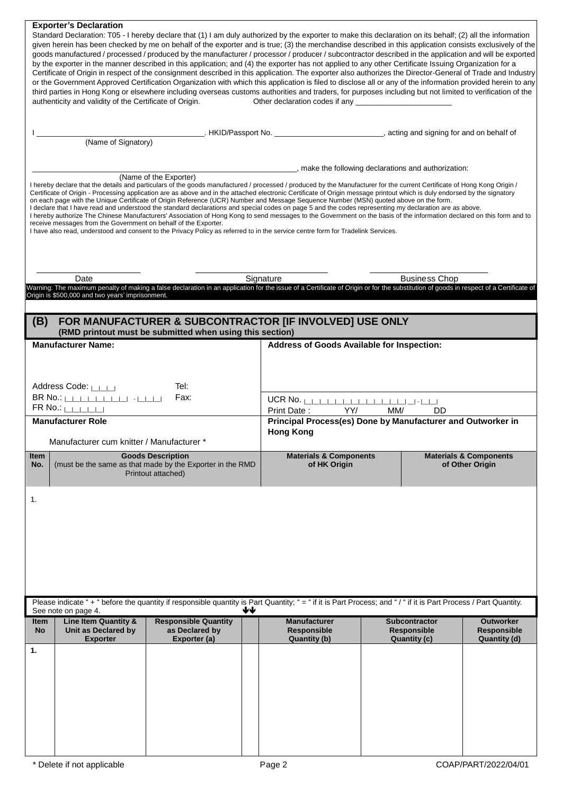|                                                                                                                                         | <b>Exporter's Declaration</b><br>authenticity and validity of the Certificate of Origin. | Standard Declaration: T05 - I hereby declare that (1) I am duly authorized by the exporter to make this declaration on its behalf; (2) all the information<br>given herein has been checked by me on behalf of the exporter and is true; (3) the merchandise described in this application consists exclusively of the<br>goods manufactured / processed / produced by the manufacturer / processor / producer / subcontractor described in the application and will be exported<br>by the exporter in the manner described in this application; and (4) the exporter has not applied to any other Certificate Issuing Organization for a<br>Certificate of Origin in respect of the consignment described in this application. The exporter also authorizes the Director-General of Trade and Industry<br>or the Government Approved Certification Organization with which this application is filed to disclose all or any of the information provided herein to any<br>third parties in Hong Kong or elsewhere including overseas customs authorities and traders, for purposes including but not limited to verification of the |                                                                                                                                           |                                                     |                                                        |  |
|-----------------------------------------------------------------------------------------------------------------------------------------|------------------------------------------------------------------------------------------|-------------------------------------------------------------------------------------------------------------------------------------------------------------------------------------------------------------------------------------------------------------------------------------------------------------------------------------------------------------------------------------------------------------------------------------------------------------------------------------------------------------------------------------------------------------------------------------------------------------------------------------------------------------------------------------------------------------------------------------------------------------------------------------------------------------------------------------------------------------------------------------------------------------------------------------------------------------------------------------------------------------------------------------------------------------------------------------------------------------------------------------|-------------------------------------------------------------------------------------------------------------------------------------------|-----------------------------------------------------|--------------------------------------------------------|--|
|                                                                                                                                         | (Name of Signatory)                                                                      |                                                                                                                                                                                                                                                                                                                                                                                                                                                                                                                                                                                                                                                                                                                                                                                                                                                                                                                                                                                                                                                                                                                                     | _____________. HKID/Passport No. _______________________________, acting and signing for and on behalf of                                 |                                                     |                                                        |  |
|                                                                                                                                         | receive messages from the Government on behalf of the Exporter.                          | (Name of the Exporter)<br>I hereby declare that the details and particulars of the goods manufactured / processed / produced by the Manufacturer for the current Certificate of Hong Kong Origin /<br>Certificate of Origin - Processing application are as above and in the attached electronic Certificate of Origin message printout which is duly endorsed by the signatory<br>on each page with the Unique Certificate of Origin Reference (UCR) Number and Message Sequence Number (MSN) quoted above on the form.<br>I declare that I have read and understood the standard declarations and special codes on page 5 and the codes representing my declaration are as above.<br>I hereby authorize The Chinese Manufacturers' Association of Hong Kong to send messages to the Government on the basis of the information declared on this form and to<br>I have also read, understood and consent to the Privacy Policy as referred to in the service centre form for Tradelink Services.                                                                                                                                   | ___________________, make the following declarations and authorization:                                                                   |                                                     |                                                        |  |
|                                                                                                                                         | Date                                                                                     |                                                                                                                                                                                                                                                                                                                                                                                                                                                                                                                                                                                                                                                                                                                                                                                                                                                                                                                                                                                                                                                                                                                                     | Signature                                                                                                                                 | <b>Business Chop</b>                                |                                                        |  |
|                                                                                                                                         | Origin is \$500,000 and two years' imprisonment.                                         | Warning: The maximum penalty of making a false declaration in an application for the issue of a Certificate of Origin or for the substitution of goods in respect of a Certificate of                                                                                                                                                                                                                                                                                                                                                                                                                                                                                                                                                                                                                                                                                                                                                                                                                                                                                                                                               |                                                                                                                                           |                                                     |                                                        |  |
| (B)                                                                                                                                     |                                                                                          | FOR MANUFACTURER & SUBCONTRACTOR [IF INVOLVED] USE ONLY<br>(RMD printout must be submitted when using this section)                                                                                                                                                                                                                                                                                                                                                                                                                                                                                                                                                                                                                                                                                                                                                                                                                                                                                                                                                                                                                 |                                                                                                                                           |                                                     |                                                        |  |
|                                                                                                                                         | <b>Manufacturer Name:</b>                                                                |                                                                                                                                                                                                                                                                                                                                                                                                                                                                                                                                                                                                                                                                                                                                                                                                                                                                                                                                                                                                                                                                                                                                     | Address of Goods Available for Inspection:                                                                                                |                                                     |                                                        |  |
| Tel:<br>Address Code: LILLI<br>Fax:<br>FR No.: $\left \right $<br><b>Manufacturer Role</b><br>Manufacturer cum knitter / Manufacturer * |                                                                                          |                                                                                                                                                                                                                                                                                                                                                                                                                                                                                                                                                                                                                                                                                                                                                                                                                                                                                                                                                                                                                                                                                                                                     | UCR No. $\ $<br>Print Date:<br>YY/<br>MM/<br><b>DD</b><br>Principal Process(es) Done by Manufacturer and Outworker in<br><b>Hong Kong</b> |                                                     |                                                        |  |
| Item<br>No.                                                                                                                             |                                                                                          | <b>Goods Description</b><br>(must be the same as that made by the Exporter in the RMD<br>Printout attached)                                                                                                                                                                                                                                                                                                                                                                                                                                                                                                                                                                                                                                                                                                                                                                                                                                                                                                                                                                                                                         | <b>Materials &amp; Components</b><br>of HK Origin                                                                                         |                                                     | <b>Materials &amp; Components</b><br>of Other Origin   |  |
| 1.                                                                                                                                      |                                                                                          |                                                                                                                                                                                                                                                                                                                                                                                                                                                                                                                                                                                                                                                                                                                                                                                                                                                                                                                                                                                                                                                                                                                                     |                                                                                                                                           |                                                     |                                                        |  |
|                                                                                                                                         | See note on page 4.                                                                      | Please indicate "+" before the quantity if responsible quantity is Part Quantity; "= " if it is Part Process; and "/" if it is Part Process / Part Quantity.<br>₩₩                                                                                                                                                                                                                                                                                                                                                                                                                                                                                                                                                                                                                                                                                                                                                                                                                                                                                                                                                                  |                                                                                                                                           |                                                     |                                                        |  |
| Item<br>No                                                                                                                              | <b>Line Item Quantity &amp;</b><br>Unit as Declared by<br>Exporter                       | <b>Responsible Quantity</b><br>as Declared by<br>Exporter (a)                                                                                                                                                                                                                                                                                                                                                                                                                                                                                                                                                                                                                                                                                                                                                                                                                                                                                                                                                                                                                                                                       | <b>Manufacturer</b><br><b>Responsible</b><br>Quantity (b)                                                                                 | Subcontractor<br><b>Responsible</b><br>Quantity (c) | <b>Outworker</b><br><b>Responsible</b><br>Quantity (d) |  |
| 1.                                                                                                                                      |                                                                                          |                                                                                                                                                                                                                                                                                                                                                                                                                                                                                                                                                                                                                                                                                                                                                                                                                                                                                                                                                                                                                                                                                                                                     |                                                                                                                                           |                                                     |                                                        |  |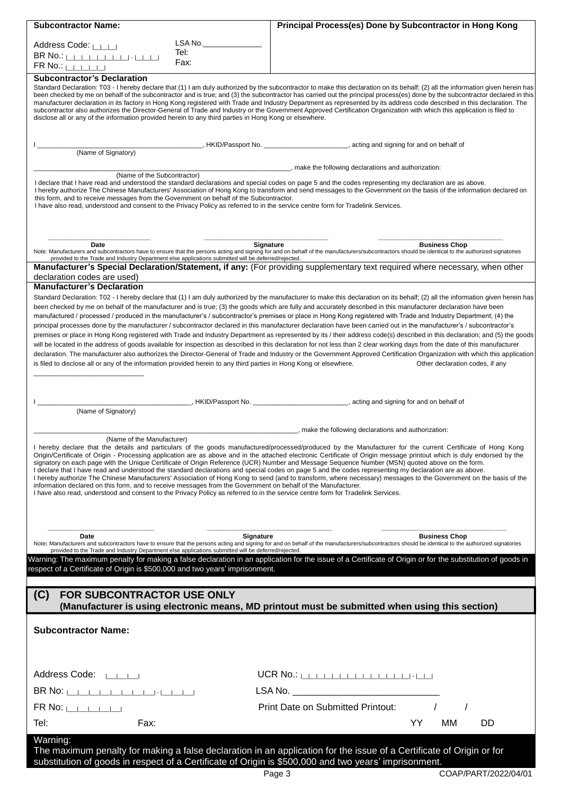| <b>Subcontractor Name:</b>                                                                                                                                                                                                                                                                                                                                                                                                                                                                                                                                                                    | Principal Process(es) Done by Subcontractor in Hong Kong                                                                                                                                                                                                                                                                                                                                                                                                                                                                                                                                                                                                                                                                                                                                                                                                                                                                                                                                                                                                                                                                                                                                                                                                                       |
|-----------------------------------------------------------------------------------------------------------------------------------------------------------------------------------------------------------------------------------------------------------------------------------------------------------------------------------------------------------------------------------------------------------------------------------------------------------------------------------------------------------------------------------------------------------------------------------------------|--------------------------------------------------------------------------------------------------------------------------------------------------------------------------------------------------------------------------------------------------------------------------------------------------------------------------------------------------------------------------------------------------------------------------------------------------------------------------------------------------------------------------------------------------------------------------------------------------------------------------------------------------------------------------------------------------------------------------------------------------------------------------------------------------------------------------------------------------------------------------------------------------------------------------------------------------------------------------------------------------------------------------------------------------------------------------------------------------------------------------------------------------------------------------------------------------------------------------------------------------------------------------------|
| LSA No._______<br>Address Code: [                                                                                                                                                                                                                                                                                                                                                                                                                                                                                                                                                             |                                                                                                                                                                                                                                                                                                                                                                                                                                                                                                                                                                                                                                                                                                                                                                                                                                                                                                                                                                                                                                                                                                                                                                                                                                                                                |
| Tel:<br>Fax:                                                                                                                                                                                                                                                                                                                                                                                                                                                                                                                                                                                  |                                                                                                                                                                                                                                                                                                                                                                                                                                                                                                                                                                                                                                                                                                                                                                                                                                                                                                                                                                                                                                                                                                                                                                                                                                                                                |
| $FR$ No.: $L$<br>Subcontractor's Declaration                                                                                                                                                                                                                                                                                                                                                                                                                                                                                                                                                  |                                                                                                                                                                                                                                                                                                                                                                                                                                                                                                                                                                                                                                                                                                                                                                                                                                                                                                                                                                                                                                                                                                                                                                                                                                                                                |
| disclose all or any of the information provided herein to any third parties in Hong Kong or elsewhere.                                                                                                                                                                                                                                                                                                                                                                                                                                                                                        | Standard Declaration: T03 - I hereby declare that (1) I am duly authorized by the subcontractor to make this declaration on its behalf; (2) all the information given herein has<br>been checked by me on behalf of the subcontractor and is true; and (3) the subcontractor has carried out the principal process(es) done by the subcontractor declared in this<br>manufacturer declaration in its factory in Hong Kong registered with Trade and Industry Department as represented by its address code described in this declaration. The<br>subcontractor also authorizes the Director-General of Trade and Industry or the Government Approved Certification Organization with which this application is filed to                                                                                                                                                                                                                                                                                                                                                                                                                                                                                                                                                        |
| (Name of Signatory)                                                                                                                                                                                                                                                                                                                                                                                                                                                                                                                                                                           | _, HKID/Passport No. _______________________, acting and signing for and on behalf of                                                                                                                                                                                                                                                                                                                                                                                                                                                                                                                                                                                                                                                                                                                                                                                                                                                                                                                                                                                                                                                                                                                                                                                          |
| (Name of the Subcontractor)                                                                                                                                                                                                                                                                                                                                                                                                                                                                                                                                                                   | ________, make the following declarations and authorization:                                                                                                                                                                                                                                                                                                                                                                                                                                                                                                                                                                                                                                                                                                                                                                                                                                                                                                                                                                                                                                                                                                                                                                                                                   |
| I declare that I have read and understood the standard declarations and special codes on page 5 and the codes representing my declaration are as above.<br>this form, and to receive messages from the Government on behalf of the Subcontractor.<br>I have also read, understood and consent to the Privacy Policy as referred to in the service centre form for Tradelink Services.                                                                                                                                                                                                         | I hereby authorize The Chinese Manufacturers' Association of Hong Kong to transform and send messages to the Government on the basis of the information declared on                                                                                                                                                                                                                                                                                                                                                                                                                                                                                                                                                                                                                                                                                                                                                                                                                                                                                                                                                                                                                                                                                                            |
| Date                                                                                                                                                                                                                                                                                                                                                                                                                                                                                                                                                                                          | Signature<br><b>Business Chop</b>                                                                                                                                                                                                                                                                                                                                                                                                                                                                                                                                                                                                                                                                                                                                                                                                                                                                                                                                                                                                                                                                                                                                                                                                                                              |
| provided to the Trade and Industry Department else applications submitted will be deferred/rejected.<br>declaration codes are used)                                                                                                                                                                                                                                                                                                                                                                                                                                                           | Note: Manufacturers and subcontractors have to ensure that the persons acting and signing for and on behalf of the manufacturers/subcontractors should be identical to the authorized signatories<br>Manufacturer's Special Declaration/Statement, if any: (For providing supplementary text required where necessary, when other                                                                                                                                                                                                                                                                                                                                                                                                                                                                                                                                                                                                                                                                                                                                                                                                                                                                                                                                              |
| <b>Manufacturer's Declaration</b>                                                                                                                                                                                                                                                                                                                                                                                                                                                                                                                                                             |                                                                                                                                                                                                                                                                                                                                                                                                                                                                                                                                                                                                                                                                                                                                                                                                                                                                                                                                                                                                                                                                                                                                                                                                                                                                                |
| is filed to disclose all or any of the information provided herein to any third parties in Hong Kong or elsewhere.                                                                                                                                                                                                                                                                                                                                                                                                                                                                            | Standard Declaration: T02 - I hereby declare that (1) I am duly authorized by the manufacturer to make this declaration on its behalf; (2) all the information given herein has<br>been checked by me on behalf of the manufacturer and is true; (3) the goods which are fully and accurately described in this manufacturer declaration have been<br>manufactured / processed / produced in the manufacturer's / subcontractor's premises or place in Hong Kong registered with Trade and Industry Department; (4) the<br>principal processes done by the manufacturer / subcontractor declared in this manufacturer declaration have been carried out in the manufacturer's / subcontractor's<br>premises or place in Hong Kong registered with Trade and Industry Department as represented by its / their address code(s) described in this declaration; and (5) the goods<br>will be located in the address of goods available for inspection as described in this declaration for not less than 2 clear working days from the date of this manufacturer<br>declaration. The manufacturer also authorizes the Director-General of Trade and Industry or the Government Approved Certification Organization with which this application<br>Other declaration codes, if any |
|                                                                                                                                                                                                                                                                                                                                                                                                                                                                                                                                                                                               | , HKID/Passport No. __________________________, acting and signing for and on behalf of                                                                                                                                                                                                                                                                                                                                                                                                                                                                                                                                                                                                                                                                                                                                                                                                                                                                                                                                                                                                                                                                                                                                                                                        |
| (Name of Signatory)                                                                                                                                                                                                                                                                                                                                                                                                                                                                                                                                                                           |                                                                                                                                                                                                                                                                                                                                                                                                                                                                                                                                                                                                                                                                                                                                                                                                                                                                                                                                                                                                                                                                                                                                                                                                                                                                                |
|                                                                                                                                                                                                                                                                                                                                                                                                                                                                                                                                                                                               | , make the following declarations and authorization:                                                                                                                                                                                                                                                                                                                                                                                                                                                                                                                                                                                                                                                                                                                                                                                                                                                                                                                                                                                                                                                                                                                                                                                                                           |
| (Name of the Manufacturer)<br>signatory on each page with the Unique Certificate of Origin Reference (UCR) Number and Message Sequence Number (MSN) quoted above on the form.<br>I declare that I have read and understood the standard declarations and special codes on page 5 and the codes representing my declaration are as above.<br>information declared on this form, and to receive messages from the Government on behalf of the Manufacturer.<br>I have also read, understood and consent to the Privacy Policy as referred to in the service centre form for Tradelink Services. | I hereby declare that the details and particulars of the goods manufactured/processed/produced by the Manufacturer for the current Certificate of Hong Kong<br>Origin/Certificate of Origin - Processing application are as above and in the attached electronic Certificate of Origin message printout which is duly endorsed by the<br>I hereby authorize The Chinese Manufacturers' Association of Hong Kong to send (and to transform, where necessary) messages to the Government on the basis of the                                                                                                                                                                                                                                                                                                                                                                                                                                                                                                                                                                                                                                                                                                                                                                     |
|                                                                                                                                                                                                                                                                                                                                                                                                                                                                                                                                                                                               |                                                                                                                                                                                                                                                                                                                                                                                                                                                                                                                                                                                                                                                                                                                                                                                                                                                                                                                                                                                                                                                                                                                                                                                                                                                                                |
| Signature<br><b>Date</b>                                                                                                                                                                                                                                                                                                                                                                                                                                                                                                                                                                      | <b>Business Chop</b>                                                                                                                                                                                                                                                                                                                                                                                                                                                                                                                                                                                                                                                                                                                                                                                                                                                                                                                                                                                                                                                                                                                                                                                                                                                           |
| provided to the Trade and Industry Department else applications submitted will be deferred/rejected.                                                                                                                                                                                                                                                                                                                                                                                                                                                                                          | Note: Manufacturers and subcontractors have to ensure that the persons acting and signing for and on behalf of the manufacturers/subcontractors should be identical to the authorized signatories                                                                                                                                                                                                                                                                                                                                                                                                                                                                                                                                                                                                                                                                                                                                                                                                                                                                                                                                                                                                                                                                              |
| respect of a Certificate of Origin is \$500,000 and two years' imprisonment.                                                                                                                                                                                                                                                                                                                                                                                                                                                                                                                  | Warning: The maximum penalty for making a false declaration in an application for the issue of a Certificate of Origin or for the substitution of goods in                                                                                                                                                                                                                                                                                                                                                                                                                                                                                                                                                                                                                                                                                                                                                                                                                                                                                                                                                                                                                                                                                                                     |
| (C)<br><b>FOR SUBCONTRACTOR USE ONLY</b>                                                                                                                                                                                                                                                                                                                                                                                                                                                                                                                                                      | (Manufacturer is using electronic means, MD printout must be submitted when using this section)                                                                                                                                                                                                                                                                                                                                                                                                                                                                                                                                                                                                                                                                                                                                                                                                                                                                                                                                                                                                                                                                                                                                                                                |
| <b>Subcontractor Name:</b>                                                                                                                                                                                                                                                                                                                                                                                                                                                                                                                                                                    |                                                                                                                                                                                                                                                                                                                                                                                                                                                                                                                                                                                                                                                                                                                                                                                                                                                                                                                                                                                                                                                                                                                                                                                                                                                                                |
| Address Code: $ $ $ $ $ $ $ $                                                                                                                                                                                                                                                                                                                                                                                                                                                                                                                                                                 | $UCR$ No.: $\Box$                                                                                                                                                                                                                                                                                                                                                                                                                                                                                                                                                                                                                                                                                                                                                                                                                                                                                                                                                                                                                                                                                                                                                                                                                                                              |
| BR No: $\vert$                                                                                                                                                                                                                                                                                                                                                                                                                                                                                                                                                                                |                                                                                                                                                                                                                                                                                                                                                                                                                                                                                                                                                                                                                                                                                                                                                                                                                                                                                                                                                                                                                                                                                                                                                                                                                                                                                |
| $FR No: 1 + 1 + 1$                                                                                                                                                                                                                                                                                                                                                                                                                                                                                                                                                                            | Print Date on Submitted Printout:                                                                                                                                                                                                                                                                                                                                                                                                                                                                                                                                                                                                                                                                                                                                                                                                                                                                                                                                                                                                                                                                                                                                                                                                                                              |
| Tel:<br>Fax:                                                                                                                                                                                                                                                                                                                                                                                                                                                                                                                                                                                  | <b>YY</b><br>DD<br>мм                                                                                                                                                                                                                                                                                                                                                                                                                                                                                                                                                                                                                                                                                                                                                                                                                                                                                                                                                                                                                                                                                                                                                                                                                                                          |
| Warning:                                                                                                                                                                                                                                                                                                                                                                                                                                                                                                                                                                                      |                                                                                                                                                                                                                                                                                                                                                                                                                                                                                                                                                                                                                                                                                                                                                                                                                                                                                                                                                                                                                                                                                                                                                                                                                                                                                |
| substitution of goods in respect of a Certificate of Origin is \$500,000 and two years' imprisonment.                                                                                                                                                                                                                                                                                                                                                                                                                                                                                         | The maximum penalty for making a false declaration in an application for the issue of a Certificate of Origin or for                                                                                                                                                                                                                                                                                                                                                                                                                                                                                                                                                                                                                                                                                                                                                                                                                                                                                                                                                                                                                                                                                                                                                           |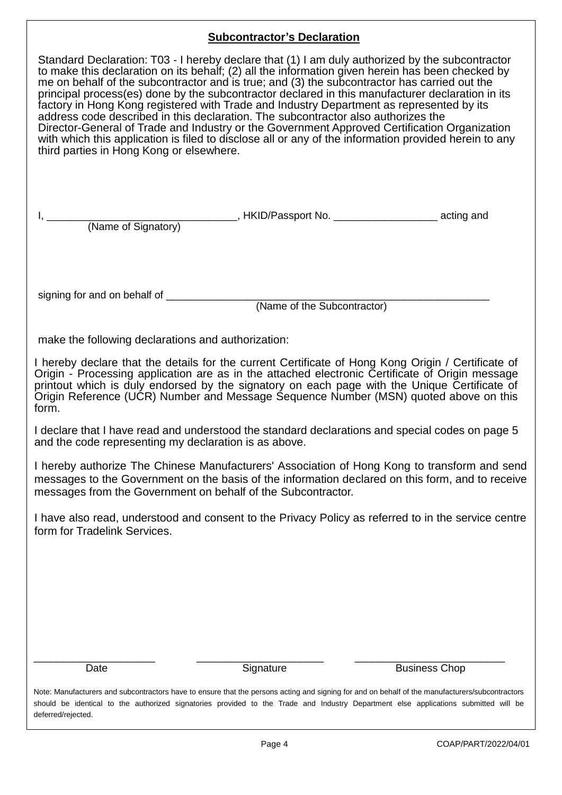# **Subcontractor's Declaration**

| <u> subscrittactor o Bocial ationi</u><br>Standard Declaration: T03 - I hereby declare that (1) I am duly authorized by the subcontractor<br>to make this declaration on its behalf; (2) all the information given herein has been checked by<br>me on behalf of the subcontractor and is true; and (3) the subcontractor has carried out the<br>principal process(es) done by the subcontractor declared in this manufacturer declaration in its<br>factory in Hong Kong registered with Trade and Industry Department as represented by its<br>address code described in this declaration. The subcontractor also authorizes the<br>Director-General of Trade and Industry or the Government Approved Certification Organization<br>with which this application is filed to disclose all or any of the information provided herein to any<br>third parties in Hong Kong or elsewhere. |
|-----------------------------------------------------------------------------------------------------------------------------------------------------------------------------------------------------------------------------------------------------------------------------------------------------------------------------------------------------------------------------------------------------------------------------------------------------------------------------------------------------------------------------------------------------------------------------------------------------------------------------------------------------------------------------------------------------------------------------------------------------------------------------------------------------------------------------------------------------------------------------------------|
|                                                                                                                                                                                                                                                                                                                                                                                                                                                                                                                                                                                                                                                                                                                                                                                                                                                                                         |
| (Name of the Subcontractor)                                                                                                                                                                                                                                                                                                                                                                                                                                                                                                                                                                                                                                                                                                                                                                                                                                                             |
|                                                                                                                                                                                                                                                                                                                                                                                                                                                                                                                                                                                                                                                                                                                                                                                                                                                                                         |
| make the following declarations and authorization:                                                                                                                                                                                                                                                                                                                                                                                                                                                                                                                                                                                                                                                                                                                                                                                                                                      |
| I hereby declare that the details for the current Certificate of Hong Kong Origin / Certificate of<br>Origin - Processing application are as in the attached electronic Certificate of Origin message<br>printout which is duly endorsed by the signatory on each page with the Unique Certificate of<br>Origin Reference (UCR) Number and Message Sequence Number (MSN) quoted above on this<br>form.                                                                                                                                                                                                                                                                                                                                                                                                                                                                                  |
| I declare that I have read and understood the standard declarations and special codes on page 5<br>and the code representing my declaration is as above.                                                                                                                                                                                                                                                                                                                                                                                                                                                                                                                                                                                                                                                                                                                                |
| I hereby authorize The Chinese Manufacturers' Association of Hong Kong to transform and send<br>messages to the Government on the basis of the information declared on this form, and to receive<br>messages from the Government on behalf of the Subcontractor.                                                                                                                                                                                                                                                                                                                                                                                                                                                                                                                                                                                                                        |
| I have also read, understood and consent to the Privacy Policy as referred to in the service centre<br>form for Tradelink Services.                                                                                                                                                                                                                                                                                                                                                                                                                                                                                                                                                                                                                                                                                                                                                     |
|                                                                                                                                                                                                                                                                                                                                                                                                                                                                                                                                                                                                                                                                                                                                                                                                                                                                                         |
| Signature<br><b>Business Chop</b><br>Date                                                                                                                                                                                                                                                                                                                                                                                                                                                                                                                                                                                                                                                                                                                                                                                                                                               |
| Note: Manufacturers and subcontractors have to ensure that the persons acting and signing for and on behalf of the manufacturers/subcontractors<br>should be identical to the authorized signatories provided to the Trade and Industry Department else applications submitted will be<br>deferred/rejected.                                                                                                                                                                                                                                                                                                                                                                                                                                                                                                                                                                            |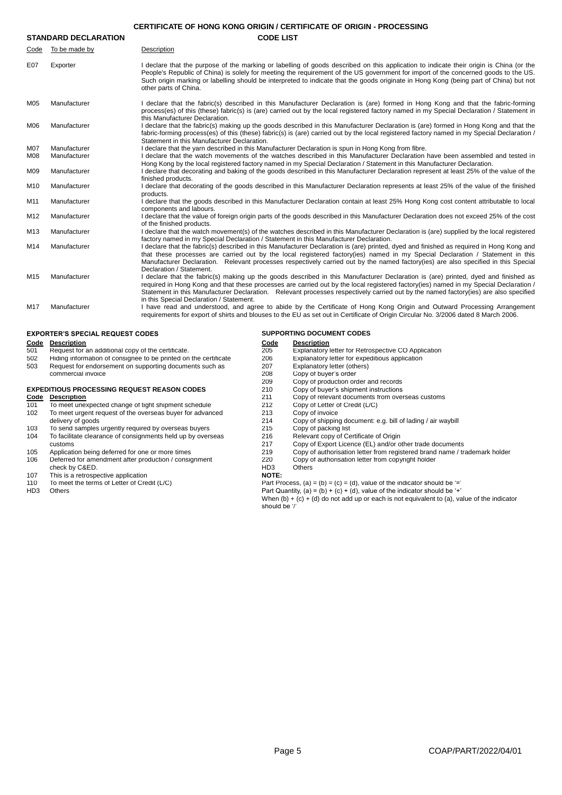| <b>CERTIFICATE OF HONG KONG ORIGIN / CERTIFICATE OF ORIGIN - PROCESSING</b> |
|-----------------------------------------------------------------------------|
|                                                                             |

|                 | <b>STANDARD DECLARATION</b> | <b>CODE LIST</b>                                                                                                                                                                                                                                                                                                                                                                                                                                                |
|-----------------|-----------------------------|-----------------------------------------------------------------------------------------------------------------------------------------------------------------------------------------------------------------------------------------------------------------------------------------------------------------------------------------------------------------------------------------------------------------------------------------------------------------|
| Code            | To be made by               | Description                                                                                                                                                                                                                                                                                                                                                                                                                                                     |
| E07             | Exporter                    | I declare that the purpose of the marking or labelling of goods described on this application to indicate their origin is China (or the<br>People's Republic of China) is solely for meeting the requirement of the US government for import of the concerned goods to the US.<br>Such origin marking or labelling should be interpreted to indicate that the goods originate in Hong Kong (being part of China) but not<br>other parts of China.               |
| M05             | Manufacturer                | I declare that the fabric(s) described in this Manufacturer Declaration is (are) formed in Hong Kong and that the fabric-forming<br>process(es) of this (these) fabric(s) is (are) carried out by the local registered factory named in my Special Declaration / Statement in<br>this Manufacturer Declaration.                                                                                                                                                 |
| M06             | Manufacturer                | I declare that the fabric(s) making up the goods described in this Manufacturer Declaration is (are) formed in Hong Kong and that the<br>fabric-forming process(es) of this (these) fabric(s) is (are) carried out by the local registered factory named in my Special Declaration /<br>Statement in this Manufacturer Declaration.                                                                                                                             |
| <b>M07</b>      | Manufacturer                | I declare that the yarn described in this Manufacturer Declaration is spun in Hong Kong from fibre.                                                                                                                                                                                                                                                                                                                                                             |
| <b>M08</b>      | Manufacturer                | I declare that the watch movements of the watches described in this Manufacturer Declaration have been assembled and tested in<br>Hong Kong by the local registered factory named in my Special Declaration / Statement in this Manufacturer Declaration.                                                                                                                                                                                                       |
| M09             | Manufacturer                | I declare that decorating and baking of the goods described in this Manufacturer Declaration represent at least 25% of the value of the<br>finished products.                                                                                                                                                                                                                                                                                                   |
| M10             | Manufacturer                | I declare that decorating of the goods described in this Manufacturer Declaration represents at least 25% of the value of the finished<br>products.                                                                                                                                                                                                                                                                                                             |
| M11             | Manufacturer                | I declare that the goods described in this Manufacturer Declaration contain at least 25% Hong Kong cost content attributable to local<br>components and labours.                                                                                                                                                                                                                                                                                                |
| M <sub>12</sub> | Manufacturer                | I declare that the value of foreign origin parts of the goods described in this Manufacturer Declaration does not exceed 25% of the cost<br>of the finished products.                                                                                                                                                                                                                                                                                           |
| M <sub>13</sub> | Manufacturer                | I declare that the watch movement(s) of the watches described in this Manufacturer Declaration is (are) supplied by the local registered<br>factory named in my Special Declaration / Statement in this Manufacturer Declaration.                                                                                                                                                                                                                               |
| M14             | Manufacturer                | I declare that the fabric(s) described in this Manufacturer Declaration is (are) printed, dyed and finished as required in Hong Kong and<br>that these processes are carried out by the local registered factory(ies) named in my Special Declaration / Statement in this<br>Manufacturer Declaration. Relevant processes respectively carried out by the named factory(ies) are also specified in this Special<br>Declaration / Statement.                     |
| M <sub>15</sub> | Manufacturer                | I declare that the fabric(s) making up the goods described in this Manufacturer Declaration is (are) printed, dyed and finished as<br>required in Hong Kong and that these processes are carried out by the local registered factory(ies) named in my Special Declaration /<br>Statement in this Manufacturer Declaration. Relevant processes respectively carried out by the named factory(ies) are also specified<br>in this Special Declaration / Statement. |
| M17             | Manufacturer                | I have read and understood, and agree to abide by the Certificate of Hong Kong Origin and Outward Processing Arrangement<br>requirements for export of shirts and blouses to the EU as set out in Certificate of Origin Circular No. 3/2006 dated 8 March 2006.                                                                                                                                                                                                 |

# **EXPORTER'S SPECIAL REQUEST CODES SUPPORTING DOCUMENT CODES**

- **Code Description Code Description**
- Explanatory letter for Retrospective CO Application<br>
Fequest for an additional copy of the certificate<br>
502 Hiding information of consignee to be printed on the certificate<br>
503 Request for endorsement on supporting docume 502 Hiding information of consignee to be printed on the certificate 206 Explanatory letter for expeditious application 503 Request for endorsement on supporting documents such as 207 Explanatory letter (others) commercial invoice 208 Copy of buyer's order<br>
208 Copy of buyer's order<br>
209 Copy of production or

# **EXPEDITIOUS PROCESSING REQUEST REASON CODES** 210<br>
<u>Code</u> Description 211

- **Code Description**<br>
To meet unexpected change of tight shipment schedule<br>
212 Copy of Letter of Credit (L/C) 101 To meet unexpected change of tight shipment schedule 212 Copy of Letter of Copy of invoice<br>102 To meet urgent request of the overseas buyer for advanced 213 Copy of invoice 102 To meet urgent request of the overseas buyer for advanced 213<br>delivery of goods 214
- 103 To send samples urgently required by overseas buyers
- 104 To facilitate clearance of consignments held up by overseas 216 Relevant copy of Certificate of Origin
- 
- 106 Deferred for amendment after production / consignment 220 Copy of authorisation letter from copyright holder<br>
20 Copy of authorisation letter from copyright holder<br>
HD3 Others
- check by C&ED. This is a retrospective application and the control of the check by C&ED. This is a retrospective application
- 107 This is a retrospective application<br>110 To meet the terms of Letter of Credit (L/C)
- 
- 

- 
- -
- 
- 209 Copy of production order and records<br>210 Copy of buyer's shipment instructions
	-
	-
	-
- 214 Copy of shipping document: e.g. bill of lading / air waybill<br>215 Copy of packing list
	-
	-
- customs 217 Copy of Export Licence (EL) and/or other trade documents
- 105 Application being deferred for one or more times 219 Copy of authorisation letter from registered brand name / trademark holder
	-

110 To meet the terms of Letter of Credit (L/C)  $P$ art Process, (a) = (b) = (c) = (d), value of the indicator should be '='

HD3 Others **Part Quantity, (a) = (b)** + (c) + (d), value of the indicator should be '+'

When (b)  $+$  (c)  $+$  (d) do not add up or each is not equivalent to (a), value of the indicator should be '/'